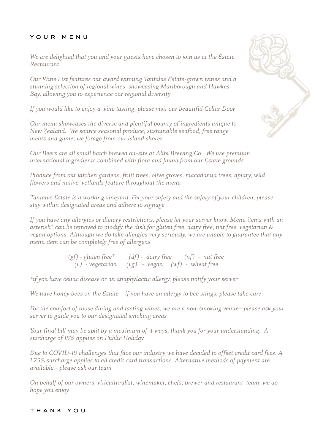## your menu

*We are delighted that you and your guests have chosen to join us at the Estate Restaurant*

*Our Wine List features our award winning Tantalus Estate-grown wines and a stunning selection of regional wines, showcasing Marlborough and Hawkes Bay, allowing you to experience our regional diversity*

*If you would like to enjoy a wine tasting, please visit our beautiful Cellar Door*

*Our menu showcases the diverse and plentiful bounty of ingredients unique to New Zealand. We source seasonal produce, sustainable seafood, free range meats and game; we forage from our island shores*

*Our Beers are all small batch brewed on-site at Alibi Brewing Co. We use premium international ingredients combined with flora and fauna from our Estate grounds*

*Produce from our kitchen gardens, fruit trees, olive groves, macadamia trees, apiary, wild flowers and native wetlands feature throughout the menu*

*Tantalus Estate is a working vineyard. For your safety and the safety of your children, please stay within designated areas and adhere to signage*

*If you have any allergies or dietary restrictions, please let your server know. Menu items with an asterisk\* can be removed to modify the dish for gluten free, dairy free, nut free, vegetarian & vegan options. Although we do take allergies very seriously, we are unable to guarantee that any menu item can be completely free of allergens*

> *(gf) - gluten free\* (df) - dairy free (nf) - nut free (v) - vegetarian (vg) - vegan (wf) - wheat free*

*\*if you have celiac disease or an anaphylactic allergy, please notify your server*

*We have honey bees on the Estate – if you have an allergy to bee stings, please take care*

*For the comfort of those dining and tasting wines, we are a non-smoking venue– please ask your server to guide you to our designated smoking areas*

*Your final bill may be split by a maximum of 4 ways, thank you for your understanding. A surcharge of 15% applies on Public Holiday*

*Due to COVID-19 challenges that face our industry we have decided to offset credit card fees. A 1.75% surcharge applies to all credit card transactions. Alternative methods of payment are available - please ask our team*

*On behalf of our owners, viticulturalist, winemaker, chefs, brewer and restaurant team, we do hope you enjoy*

## thank you

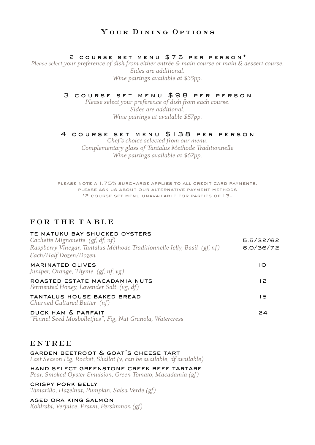# YOUR DINING OPTIONS

## 2 course set menu \$75 per person\*

*Please select your preference of dish from either entrée & main course or main & dessert course. Sides are additional. Wine pairings available at \$35pp.*

## 3 course set menu \$98 per person

*Please select your preference of dish from each course. Sides are additional. Wine pairings at available \$57pp.*

## 4 course set menu \$138 per person

*Chef's choice selected from our menu. Complementary glass of Tantalus Methode Traditionnelle Wine pairings available at \$67pp.*

please note a 1.75% surcharge applies to all credit card payments. please ask us about our alternative payment methods \*2 course set menu unavailable for parties of 13+

## FOR THE TABLE

| TE MATUKU BAY SHUCKED OYSTERS<br>Cachette Mignonette $(gf, df, nf)$<br>Raspberry Vinegar, Tantalus Méthode Traditionnelle Jelly, Basil (gf, nf)<br>Each/Half Dozen/Dozen | 5.5/32/62<br>6.0/36/72 |
|--------------------------------------------------------------------------------------------------------------------------------------------------------------------------|------------------------|
| MARINATED OLIVES<br>Juniper, Orange, Thyme $(gf, nf, vg)$                                                                                                                | ١O                     |
| ROASTED ESTATE MACADAMIA NUTS<br>Fermented Honey, Lavender Salt (vg, df)                                                                                                 | 12                     |
| TANTALUS HOUSE BAKED BREAD<br>Churned Cultured Butter (nf)                                                                                                               | 15                     |
| DUCK HAM & PARFAIT<br>"Fennel Seed Mosbolletjies", Fig, Nut Granola, Watercress                                                                                          | 24                     |

## **ENTREE**

garden beetroot & goat's cheese tart *Last Season Fig, Rocket, Shallot (v, can be available, df available)*

hand select greenstone creek beef tartare *Pear, Smoked Oyster Emulsion, Green Tomato, Macadamia (gf)*

crispy pork belly *Tamarillo, Hazelnut, Pumpkin, Salsa Verde (gf)*

aged ora king salmon *Kohlrabi, Verjuice, Prawn, Persimmon (gf)*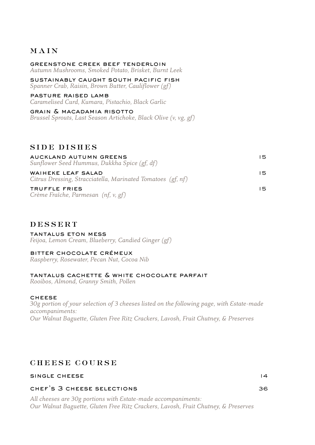# MAIN

greenstone creek beef tenderloin *Autumn Mushrooms, Smoked Potato, Brisket, Burnt Leek* Ī, sustainably caught south pacific fish *Spanner Crab, Raisin, Brown Butter, Cauliflower (gf)* pasture raised lamb *Caramelised Curd, Kumara, Pistachio, Black Garlic* 

 grain & macadamia risotto *Brussel Sprouts, Last Season Artichoke, Black Olive (v, vg, gf)*

# SIDE DISHES

| AUCKLAND AUTUMN GREENS<br>Sunflower Seed Hummus, Dukkha Spice (gf, df)            | 15. |
|-----------------------------------------------------------------------------------|-----|
| WAIHEKE LEAF SALAD<br>Citrus Dressing, Stracciatella, Marinated Tomatoes (gf, nf) | 15. |
| TRUFFLE FRIES<br>Crème Fraîche, Parmesan (nf, v, gf)                              | 15. |

# DESSERT

tantalus eton mess *Feijoa, Lemon Cream, Blueberry, Candied Ginger (gf)*

## bitter chocolate crémeux

*Raspberry, Rosewater, Pecan Nut, Cocoa Nib* 

## tantalus cachette & white chocolate parfait

*Rooibos, Almond, Granny Smith, Pollen* 

## **CHEESE**

*30g portion of your selection of 3 cheeses listed on the following page, with Estate-made accompaniments: Our Walnut Baguette, Gluten Free Ritz Crackers, Lavosh, Fruit Chutney, & Preserves*

# CHEESE COURSE

## single cheese 14

## chef's 3 cheese selections 36

*All cheeses are 30g portions with Estate-made accompaniments: Our Walnut Baguette, Gluten Free Ritz Crackers, Lavosh, Fruit Chutney, & Preserves*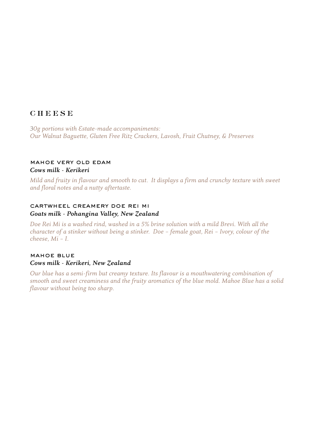# **CHEESE**

*30g portions with Estate-made accompaniments: Our Walnut Baguette, Gluten Free Ritz Crackers, Lavosh, Fruit Chutney, & Preserves*

## mahoe very old edam *Cows milk - Kerikeri*

*Mild and fruity in flavour and smooth to cut. It displays a firm and crunchy texture with sweet and floral notes and a nutty aftertaste.*

## cartwheel creamery doe rei mi *Goats milk - Pohangina Valley, New Zealand*

*Doe Rei Mi is a washed rind, washed in a 5% brine solution with a mild Brevi. With all the character of a stinker without being a stinker. Doe – female goat, Rei – Ivory, colour of the cheese, Mi – I.*

## mahoe blue *Cows milk - Kerikeri, New Zealand*

*Our blue has a semi-firm but creamy texture. Its flavour is a mouthwatering combination of smooth and sweet creaminess and the fruity aromatics of the blue mold. Mahoe Blue has a solid flavour without being too sharp.*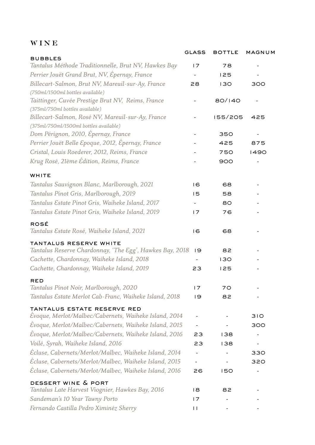# WINE

|                                                                                             | <b>GLASS</b>   | <b>BOTTLE</b> | MAGNUM |
|---------------------------------------------------------------------------------------------|----------------|---------------|--------|
| <b>BUBBLES</b><br>Tantalus Méthode Traditionnelle, Brut NV, Hawkes Bay                      | 17             | 78            |        |
| Perrier Jouët Grand Brut, NV, Épernay, France                                               |                | 125           |        |
| Billecart-Salmon, Brut NV, Mareuil-sur-Ay, France<br>(750ml/1500ml bottles available)       | 28             | 130           | 300    |
| Taittinger, Cuvée Prestige Brut NV, Reims, France<br>(375ml/750ml bottles available)        |                | 80/140        |        |
| Billecart-Salmon, Rosé NV, Mareuil-sur-Ay, France<br>(375ml/750ml/1500ml bottles available) |                | 155/205       | 425    |
| Dom Pérignon, 2010, Épernay, France                                                         |                | 350           |        |
| Perrier Jouët Belle Epoque, 2012, Épernay, France                                           |                | 425           | 875    |
| Cristal, Louis Roederer, 2012, Reims, France                                                |                | 750           | 1490   |
| Krug Rosé, 21ème Édition, Reims, France                                                     |                | 900           |        |
| WHITE                                                                                       |                |               |        |
| Tantalus Sauvignon Blanc, Marlborough, 2021                                                 | $\overline{6}$ | 68            |        |
| Tantalus Pinot Gris, Marlborough, 2019                                                      | 15             | 58            |        |
| Tantalus Estate Pinot Gris, Waiheke Island, 2017                                            |                | 80            |        |
| Tantalus Estate Pinot Gris, Waiheke Island, 2019                                            | 17             | 76            |        |
| ROSÉ<br>Tantalus Estate Rosé, Waiheke Island, 2021                                          | 16             | 68            |        |
| TANTALUS RESERVE WHITE                                                                      |                |               |        |
| Tantalus Reserve Chardonnay, 'The Egg', Hawkes Bay, 2018                                    | 19             | 82            |        |
| Cachette, Chardonnay, Waiheke Island, 2018                                                  |                | 130           |        |
| Cachette, Chardonnay, Waiheke Island, 2019                                                  | 23             | 125           |        |
| <b>RED</b><br>Tantalus Pinot Noir, Marlborough, 2020                                        | 17             | 70            |        |
| Tantalus Estate Merlot Cab-Franc, Waiheke Island, 2018                                      | 19             | 82            |        |
| TANTALUS ESTATE RESERVE RED                                                                 |                |               |        |
| Evoque, Merlot/Malbec/Cabernets, Waiheke Island, 2014                                       |                |               | 310    |
| Evoque, Merlot/Malbec/Cabernets, Waiheke Island, 2015                                       |                |               | 300    |
| Évoque, Merlot/Malbec/Cabernets, Waiheke Island, 2016                                       | 23             | 138           |        |
| Voilé, Syrah, Waiheke Island, 2016                                                          | 23             | 138           |        |
| Ecluse, Cabernets/Merlot/Malbec, Waiheke Island, 2014                                       |                |               | 330    |
| Ecluse, Cabernets/Merlot/Malbec, Waiheke Island, 2015                                       |                |               | 320    |
| Ecluse, Cabernets/Merlot/Malbec, Waiheke Island, 2016                                       | 26             | 150           |        |
| DESSERT WINE & PORT<br>Tantalus Late Harvest Viognier, Hawkes Bay, 2016                     | 18             | 82            |        |
| Sandeman's 10 Year Tawny Porto                                                              | 17             |               |        |
|                                                                                             |                |               |        |
| Fernando Castilla Pedro Ximinéz Sherry                                                      | $\mathbf{L}$   |               |        |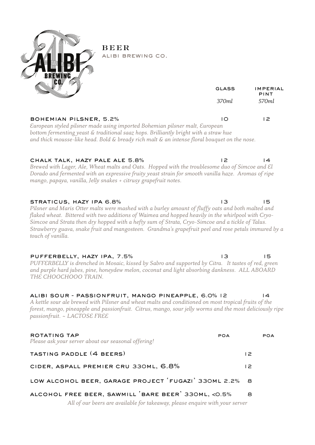

BEER alibi brewing co.

|                                                                                                                                                                                                                                                                                                                                                                                                                                                                      | GLASS | <b>IMPERIAL</b><br>PINT |
|----------------------------------------------------------------------------------------------------------------------------------------------------------------------------------------------------------------------------------------------------------------------------------------------------------------------------------------------------------------------------------------------------------------------------------------------------------------------|-------|-------------------------|
|                                                                                                                                                                                                                                                                                                                                                                                                                                                                      | 370ml | 570ml                   |
| BOHEMIAN PILSNER, 5.2%<br>European styled pilsner made using imported Bohemian pilsner malt, European<br>bottom fermenting yeast & traditional saaz hops. Brilliantly bright with a straw hue<br>and thick mousse-like head. Bold & bready rich malt & an intense floral bouquet on the nose.                                                                                                                                                                        | IO.   | 12                      |
| CHALK TALK, HAZY PALE ALE 5.8%<br>Brewed with Lager, Ale, Wheat malts and Oats. Hopped with the troublesome duo of Simcoe and El<br>Dorado and fermented with an expressive fruity yeast strain for smooth vanilla haze. Aromas of ripe<br>mango, papaya, vanilla, Jelly snakes + citrusy grapefruit notes.                                                                                                                                                          | 12    | $\overline{4}$          |
| STRATICUS, HAZY IPA 6.8%<br>Pilsner and Maris Otter malts were mashed with a burley amount of fluffy oats and both malted and<br>flaked wheat. Bittered with two additions of Waimea and hopped heavily in the whirlpool with Cryo-<br>Simcoe and Strata then dry hopped with a hefty sum of Strata, Cryo-Simcoe and a tickle of Talus.<br>Strawberry guava, snake fruit and mangosteen. Grandma's grapefruit peel and rose petals immured by a<br>touch of vanilla. | IЗ    | 15                      |
| PUFFERBELLY, HAZY IPA, 7.5%<br>PUFFERBELLY is drenched in Mosaic, kissed by Sabro and supported by Citra. It tastes of red, green<br>and purple hard jubes, pine, honeydew melon, coconut and light absorbing dankness. ALL ABOARD<br>THE CHOOCHOOO TRAIN.                                                                                                                                                                                                           | 3     | 15                      |
| ALIBI SOUR - PASSIONFRUIT, MANGO PINEAPPLE, 6.0% 12<br>A kettle sour ale brewed with Pilsner and wheat malts and conditioned on most tropical fruits of the<br>forest, mango, pineapple and passionfruit. Citrus, mango, sour jelly worms and the most deliciously ripe<br>passionfruit. ~ LACTOSE FREE                                                                                                                                                              |       | 14                      |
| ROTATING TAP<br>Please ask your server about our seasonal offering!                                                                                                                                                                                                                                                                                                                                                                                                  | POA   | <b>POA</b>              |
| TASTING PADDLE (4 BEERS)                                                                                                                                                                                                                                                                                                                                                                                                                                             |       | 12                      |
| CIDER, ASPALL PREMIER CRU 330ML, 6.8%                                                                                                                                                                                                                                                                                                                                                                                                                                |       | 12                      |

# low alcohol beer, garage project 'fugazi' 330ml 2.2% 8

# alcohol free beer, sawmill 'bare beer' 330ml, <0.5% 8

*All of our beers are available for takeaway, please enquire with your server*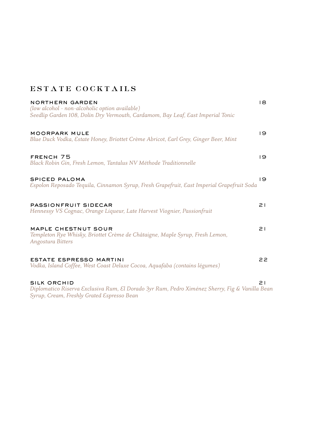# ESTATE COCKTAILS

| <b>NORTHERN GARDEN</b><br>(low alcohol - non-alcoholic option available)<br>Seedlip Garden 108, Dolin Dry Vermouth, Cardamom, Bay Leaf, East Imperial Tonic        | 18             |
|--------------------------------------------------------------------------------------------------------------------------------------------------------------------|----------------|
| <b>MOORPARK MULE</b><br>Blue Duck Vodka, Estate Honey, Briottet Crème Abricot, Earl Grey, Ginger Beer, Mint                                                        | 19             |
| <b>FRENCH 75</b><br>Black Robin Gin, Fresh Lemon, Tantalus NV Méthode Traditionnelle                                                                               | 19             |
| <b>SPICED PALOMA</b><br>Espolon Reposado Tequila, Cinnamon Syrup, Fresh Grapefruit, East Imperial Grapefruit Soda                                                  | $\overline{9}$ |
| PASSIONFRUIT SIDECAR<br>Hennessy VS Cognac, Orange Liqueur, Late Harvest Viognier, Passionfruit                                                                    | 21             |
| MAPLE CHESTNUT SOUR<br>Templeton Rye Whisky, Briottet Crème de Châtaigne, Maple Syrup, Fresh Lemon,<br>Angostura Bitters                                           | 21             |
| <b>ESTATE ESPRESSO MARTINI</b><br>Vodka, Island Coffee, West Coast Deluxe Cocoa, Aquafaba (contains légumes)                                                       | 22             |
| <b>SILK ORCHID</b><br>Diplomatico Riserva Exclusiva Rum, El Dorado 3yr Rum, Pedro Ximénez Sherry, Fig & Vanilla Bean<br>Syrup, Cream, Freshly Grated Espresso Bean | 21             |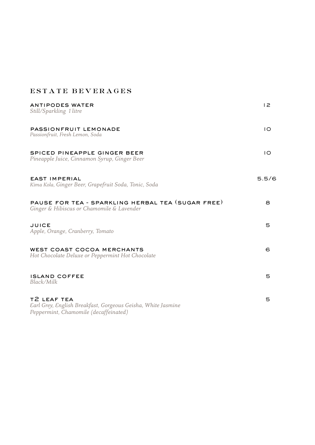# ESTATE BEVERAGES

| <b>ANTIPODES WATER</b><br>Still/Sparkling 1 litre                                                                    | 12          |
|----------------------------------------------------------------------------------------------------------------------|-------------|
| PASSIONFRUIT LEMONADE<br>Passionfruit, Fresh Lemon, Soda                                                             | 10          |
| SPICED PINEAPPLE GINGER BEER<br>Pineapple Juice, Cinnamon Syrup, Ginger Beer                                         | $1^{\circ}$ |
| <b>EAST IMPERIAL</b><br>Kima Kola, Ginger Beer, Grapefruit Soda, Tonic, Soda                                         | 5.5/6       |
| PAUSE FOR TEA - SPARKLING HERBAL TEA (SUGAR FREE)<br>Ginger & Hibiscus or Chamomile & Lavender                       | 8           |
| <b>JUICE</b><br>Apple, Orange, Cranberry, Tomato                                                                     | 5           |
| WEST COAST COCOA MERCHANTS<br>Hot Chocolate Deluxe or Peppermint Hot Chocolate                                       | 6           |
| <b>ISLAND COFFEE</b><br>Black/Milk                                                                                   | 5           |
| T2 LEAF TEA<br>Earl Grey, English Breakfast, Gorgeous Geisha, White Jasmine<br>Peppermint, Chamomile (decaffeinated) | 5           |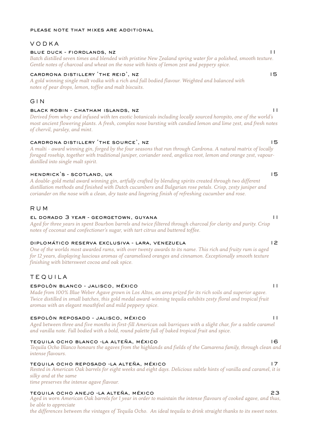## please note that mixes are additional

## VODKA

## blue duck - fiordlands, nz 111 animals and 111 and 111 animals and 111 animals and 111 animals and 111 animals and 111 animals and 111 animals and 111 animals and 111 animals and 111 animals and 111 animals and 111 animals

*Batch distilled seven times and blended with pristine New Zealand spring water for a polished, smooth texture. Gentle notes of charcoal and wheat on the nose with hints of lemon zest and peppery spice.* 

### CARDRONA DISTILLERY 'THE REID', NZ 15

*A gold winning single malt vodka with a rich and full bodied flavour. Weighted and balanced with notes of pear drops, lemon, toffee and malt biscuits.*

## GIN

### black robin - chatham islands, nz 11

*Derived from whey and infused with ten exotic botanicals including locally sourced horopito, one of the world's most ancient flowering plants. A fresh, complex nose bursting with candied lemon and lime zest, and fresh notes of chervil, parsley, and mint.*

### cardrona distillery 'the source', nz 15

*A multi - award winning gin, forged by the four seasons that run through Cardrona. A natural matrix of locally foraged rosehip, together with traditional juniper, coriander seed, angelica root, lemon and orange zest, vapourdistilled into single malt spirit.*

## hendrick's - scotland, uk 15

*A double-gold metal award winning gin, artfully crafted by blending spirits created through two different distillation methods and finished with Dutch cucumbers and Bulgarian rose petals. Crisp, zesty juniper and coriander on the nose with a clean, dry taste and lingering finish of refreshing cucumber and rose.* 

## RUM

### el dorado 3 year - georgetown, guyana 11

*Aged for three years in spent Bourbon barrels and twice filtered through charcoal for clarity and purity. Crisp notes of coconut and confectioner's sugar, with tart citrus and buttered toffee.* 

## diplomático reserva exclusiva - lara, venezuela 12

*One of the worlds most awarded rums, with over twenty awards to its name. This rich and fruity rum is aged for 12 years, displaying luscious aromas of caramelised oranges and cinnamon. Exceptionally smooth texture finishing with bittersweet cocoa and oak spice.* 

## TEQUILA

## espolòn blanco - jalisco, méxico 11

*Made from 100% Blue Weber Agave grown in Los Altos, an area prized for its rich soils and superior agave. Twice distilled in small batches, this gold medal award-winning tequila exhibits zesty floral and tropical fruit aromas with an elegant mouthfeel and mild peppery spice.* 

### espolòn reposado - jalisco, méxico 11

Aged between three and five months in first-fill American oak barriques with a slight char, for a subtle caramel *and vanilla note. Full bodied with a bold, round palette full of baked tropical fruit and spice.*

### tequila ocho blanco -la alteña, méxico 16

*Tequila Ocho Blanco honours the agaves from the highlands and fields of the Camarena family, through clean and intense flavours.*

### tequila ocho reposado -la alteña, méxico 17

*Rested in American Oak barrels for eight weeks and eight days. Delicious subtle hints of vanilla and caramel, it is silky and at the same* 

*time preserves the intense agave flavour.*

## tequila ocho anejo -la alteña, méxico 23

*Aged in worn American Oak barrels for 1 year in order to maintain the intense flavours of cooked agave, and thus, be able to appreciate* 

*the differences between the vintages of Tequila Ocho. An ideal tequila to drink straight thanks to its sweet notes.*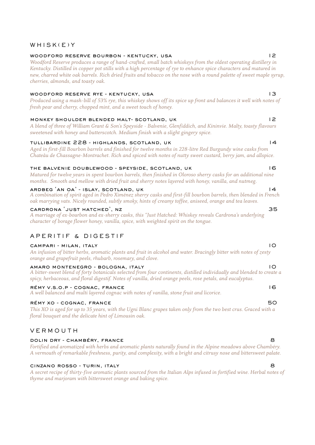## WHISK(E)Y

### woodford reserve bourbon - kentucky, usa 12

*Woodford Reserve produces a range of hand-crafted, small batch whiskeys from the oldest operating distillery in Kentucky. Distilled in copper pot stills with a high percentage of rye to enhance spice characters and matured in new, charred white oak barrels. Rich dried fruits and tobacco on the nose with a round palette of sweet maple syrup, cherries, almonds, and toasty oak.*

### woodford reserve rye - kentucky, usa 13

*Produced using a mash-bill of 53% rye, this whiskey shows off its spice up front and balances it well with notes of fresh pear and cherry, chopped mint, and a sweet touch of honey.*

### monkey shoulder blended malt- scotland, uk 12

*A blend of three of William Grant & Son's Speyside - Balvenie, Glenfiddich, and Kininvie. Malty, toasty flavours sweetened with honey and butterscotch. Medium finish with a slight gingery spice.* 

### tullibardine 228 - highlands, scotland, uk 14

*Aged in first-fill Bourbon barrels and finished for twelve months in 228-litre Red Burgundy wine casks from Chateâu de Chassagne-Montrachet. Rich and spiced with notes of nutty sweet custard, berry jam, and allspice.* 

## the balvenie doublewood - speyside, scotland, uk 16

*Matured for twelve years in spent bourbon barrels, then finished in Oloroso sherry casks for an additional nine months. Smooth and mellow with dried fruit and sherry notes layered with honey, vanilla, and nutmeg.* 

### ardbeg 'an oa' - islay, scotland, uk 14

*A combination of spirit aged in Pedro Ximénez sherry casks and first-fill bourbon barrels, then blended in French oak marrying vats. Nicely rounded, subtly smoky, hints of creamy toffee, aniseed, orange and tea leaves.* 

### cardrona 'just hatched', nz 35

*A marriage of ex-bourbon and ex-sherry casks, this "Just Hatched: Whiskey reveals Cardrona's underlying character of borage flower honey, vanilla, spice, with weighted spirit on the tongue.*

## APERITIF & DIGESTIF

## campari - milan, italy 10

*An infusion of bitter herbs, aromatic plants and fruit in alcohol and water. Bracingly bitter with notes of zesty orange and grapefruit peels, rhubarb, rosemary, and clove.* 

### amaro montenegro - bologna, italy 10

*A bitter-sweet blend of forty botanicals selected from four continents, distilled individually and blended to create a spicy, herbaceous, and floral digestif. Notes of vanilla, dried orange peels, rose petals, and eucalyptus.*

### rémy v.s.o.p - cognac, france 16

*A well balanced and multi layered cognac with notes of vanilla, stone fruit and licorice.* 

### rémy xo - cognac, france50

*This XO is aged for up to 35 years, with the Ugni Blanc grapes taken only from the two best crus. Graced with a floral bouquet and the delicate hint of Limousin oak.*

## VERMOUTH

### dolin dry - chambéry, france 8

*Fortified and aromatized with herbs and aromatic plants naturally found in the Alpine meadows above Chambéry. A vermouth of remarkable freshness, purity, and complexity, with a bright and citrusy nose and bittersweet palate.* 

### cinzano rosso - turin, italy 8

*A secret recipe of thirty-five aromatic plants sourced from the Italian Alps infused in fortified wine. Herbal notes of thyme and marjoram with bittersweet orange and baking spice.*